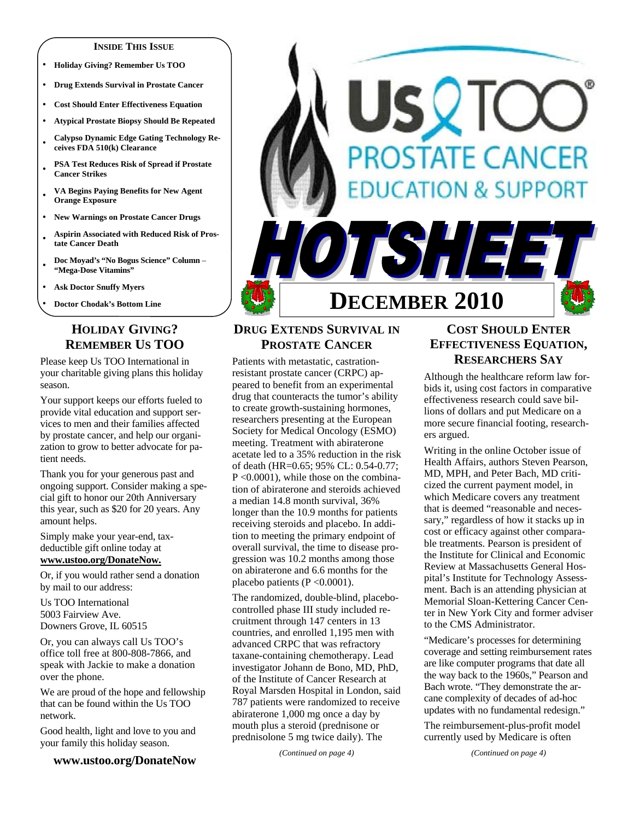### **INSIDE THIS ISSUE**

- **Holiday Giving? Remember Us TOO**
- **Drug Extends Survival in Prostate Cancer**
- **Cost Should Enter Effectiveness Equation**
- **Atypical Prostate Biopsy Should Be Repeated**
- **Calypso Dynamic Edge Gating Technology Receives FDA 510(k) Clearance**
- **PSA Test Reduces Risk of Spread if Prostate Cancer Strikes**
- **VA Begins Paying Benefits for New Agent Orange Exposure**
- **New Warnings on Prostate Cancer Drugs**
- **Aspirin Associated with Reduced Risk of Prostate Cancer Death**
- **Doc Moyad's "No Bogus Science" Column "Mega-Dose Vitamins"**
- **Ask Doctor Snuffy Myers**
- **Doctor Chodak's Bottom Line**

## **HOLIDAY GIVING? REMEMBER US TOO**

Please keep Us TOO International in your charitable giving plans this holiday season.

Your support keeps our efforts fueled to provide vital education and support services to men and their families affected by prostate cancer, and help our organization to grow to better advocate for patient needs.

Thank you for your generous past and ongoing support. Consider making a special gift to honor our 20th Anniversary this year, such as \$20 for 20 years. Any amount helps.

Simply make your year-end, taxdeductible gift online today at **www.ustoo.org/DonateNow.** 

Or, if you would rather send a donation by mail to our address:

Us TOO International 5003 Fairview Ave. Downers Grove, IL 60515

Or, you can always call Us TOO's office toll free at 800-808-7866, and speak with Jackie to make a donation over the phone.

We are proud of the hope and fellowship that can be found within the Us TOO network.

Good health, light and love to you and your family this holiday season.

### **www.ustoo.org/DonateNow**



 $\mathbf{C}$ 

**PROSTATE CANCER** 

FSH E

**ATION & SUPPORT** 

Patients with metastatic, castrationresistant prostate cancer (CRPC) appeared to benefit from an experimental drug that counteracts the tumor's ability to create growth-sustaining hormones, researchers presenting at the European Society for Medical Oncology (ESMO) meeting. Treatment with abiraterone acetate led to a 35% reduction in the risk of death (HR=0.65; 95% CL: 0.54-0.77; P <0.0001), while those on the combination of abiraterone and steroids achieved a median 14.8 month survival, 36% longer than the 10.9 months for patients receiving steroids and placebo. In addition to meeting the primary endpoint of overall survival, the time to disease progression was 10.2 months among those on abiraterone and 6.6 months for the placebo patients  $(P < 0.0001)$ .

The randomized, double-blind, placebocontrolled phase III study included recruitment through 147 centers in 13 countries, and enrolled 1,195 men with advanced CRPC that was refractory taxane-containing chemotherapy. Lead investigator Johann de Bono, MD, PhD, of the Institute of Cancer Research at Royal Marsden Hospital in London, said 787 patients were randomized to receive abiraterone 1,000 mg once a day by mouth plus a steroid (prednisone or prednisolone 5 mg twice daily). The

*(Continued on page 4)* 

## **COST SHOULD ENTER EFFECTIVENESS EQUATION, RESEARCHERS SAY**

Although the healthcare reform law forbids it, using cost factors in comparative effectiveness research could save billions of dollars and put Medicare on a more secure financial footing, researchers argued.

Writing in the online October issue of Health Affairs, authors Steven Pearson, MD, MPH, and Peter Bach, MD criticized the current payment model, in which Medicare covers any treatment that is deemed "reasonable and necessary," regardless of how it stacks up in cost or efficacy against other comparable treatments. Pearson is president of the Institute for Clinical and Economic Review at Massachusetts General Hospital's Institute for Technology Assessment. Bach is an attending physician at Memorial Sloan-Kettering Cancer Center in New York City and former adviser to the CMS Administrator.

"Medicare's processes for determining coverage and setting reimbursement rates are like computer programs that date all the way back to the 1960s," Pearson and Bach wrote. "They demonstrate the arcane complexity of decades of ad-hoc updates with no fundamental redesign."

The reimbursement-plus-profit model currently used by Medicare is often

*(Continued on page 4)*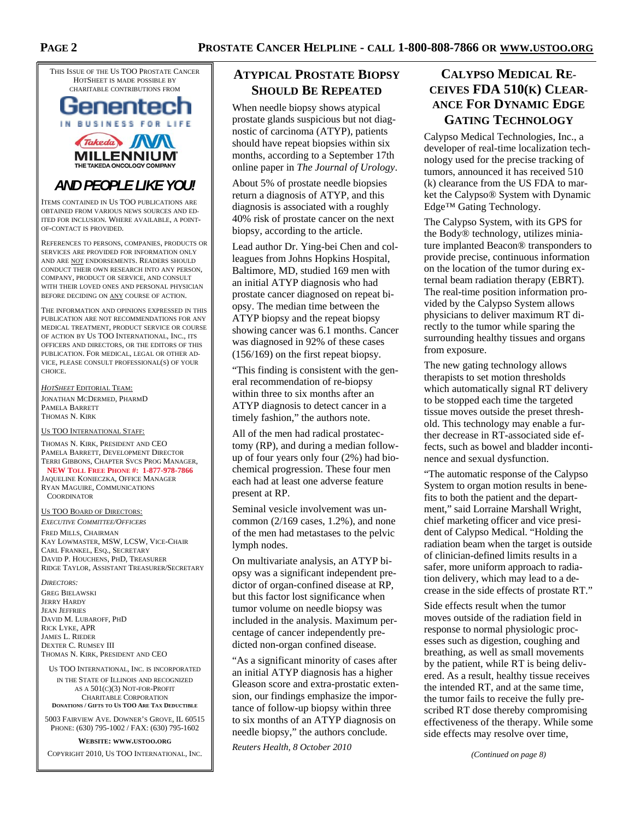THIS ISSUE OF THE US TOO PROSTATE CANCER HOTSHEET IS MADE POSSIBLE BY CHARITABLE CONTRIBUTIONS FROM



**MILLENNIUM** THE TAKEDA ONCOLOGY COM

## *AND PEOPLE LIKE YOU!*

ITEMS CONTAINED IN US TOO PUBLICATIONS ARE OBTAINED FROM VARIOUS NEWS SOURCES AND ED-ITED FOR INCLUSION. WHERE AVAILABLE, A POINT-OF-CONTACT IS PROVIDED.

REFERENCES TO PERSONS, COMPANIES, PRODUCTS OR SERVICES ARE PROVIDED FOR INFORMATION ONLY AND ARE NOT ENDORSEMENTS. READERS SHOULD CONDUCT THEIR OWN RESEARCH INTO ANY PERSON, COMPANY, PRODUCT OR SERVICE, AND CONSULT WITH THEIR LOVED ONES AND PERSONAL PHYSICIAN BEFORE DECIDING ON ANY COURSE OF ACTION.

THE INFORMATION AND OPINIONS EXPRESSED IN THIS PUBLICATION ARE NOT RECOMMENDATIONS FOR ANY MEDICAL TREATMENT, PRODUCT SERVICE OR COURSE OF ACTION BY US TOO INTERNATIONAL, INC., ITS OFFICERS AND DIRECTORS, OR THE EDITORS OF THIS PUBLICATION. FOR MEDICAL, LEGAL OR OTHER AD-VICE, PLEASE CONSULT PROFESSIONAL(S) OF YOUR **CHOICE** 

*HOTSHEET* EDITORIAL TEAM: JONATHAN MCDERMED, PHARMD PAMELA BARRETT THOMAS N. KIRK

### US TOO INTERNATIONAL STAFF:

THOMAS N. KIRK, PRESIDENT AND CEO PAMELA BARRETT, DEVELOPMENT DIRECTOR TERRI GIBBONS, CHAPTER SVCS PROG MANAGER, **NEW TOLL FREE PHONE #: 1-877-978-7866** JAQUELINE KONIECZKA, OFFICE MANAGER RYAN MAGUIRE, COMMUNICATIONS

**COORDINATOR** 

### US TOO BOARD OF DIRECTORS:

*EXECUTIVE COMMITTEE/OFFICERS* FRED MILLS, CHAIRMAN KAY LOWMASTER, MSW, LCSW, VICE-CHAIR CARL FRANKEL, ESQ., SECRETARY DAVID P. HOUCHENS, PHD, TREASURER RIDGE TAYLOR, ASSISTANT TREASURER/SECRETARY

*DIRECTORS:*  GREG BIELAWSKI JERRY HARDY JEAN JEFFRIES DAVID M. LUBAROFF, PHD RICK LYKE, APR JAMES L. RIEDER DEXTER C. RUMSEY III THOMAS N. KIRK, PRESIDENT AND CEO

US TOO INTERNATIONAL, INC. IS INCORPORATED IN THE STATE OF ILLINOIS AND RECOGNIZED AS A 501(C)(3) NOT-FOR-PROFIT CHARITABLE CORPORATION

**DONATIONS / GIFTS TO US TOO ARE TAX DEDUCTIBLE** 5003 FAIRVIEW AVE. DOWNER'S GROVE, IL 60515

PHONE: (630) 795-1002 / FAX: (630) 795-1602

### **WEBSITE: WWW.USTOO.ORG**

COPYRIGHT 2010, US TOO INTERNATIONAL, INC.

## **ATYPICAL PROSTATE BIOPSY SHOULD BE REPEATED**

When needle biopsy shows atypical prostate glands suspicious but not diagnostic of carcinoma (ATYP), patients should have repeat biopsies within six months, according to a September 17th online paper in *The Journal of Urology*.

About 5% of prostate needle biopsies return a diagnosis of ATYP, and this diagnosis is associated with a roughly 40% risk of prostate cancer on the next biopsy, according to the article.

Lead author Dr. Ying-bei Chen and colleagues from Johns Hopkins Hospital, Baltimore, MD, studied 169 men with an initial ATYP diagnosis who had prostate cancer diagnosed on repeat biopsy. The median time between the ATYP biopsy and the repeat biopsy showing cancer was 6.1 months. Cancer was diagnosed in 92% of these cases (156/169) on the first repeat biopsy.

"This finding is consistent with the general recommendation of re-biopsy within three to six months after an ATYP diagnosis to detect cancer in a timely fashion," the authors note.

All of the men had radical prostatectomy (RP), and during a median followup of four years only four (2%) had biochemical progression. These four men each had at least one adverse feature present at RP.

Seminal vesicle involvement was uncommon  $(2/169 \text{ cases}, 1.2\%)$ , and none of the men had metastases to the pelvic lymph nodes.

On multivariate analysis, an ATYP biopsy was a significant independent predictor of organ-confined disease at RP, but this factor lost significance when tumor volume on needle biopsy was included in the analysis. Maximum percentage of cancer independently predicted non-organ confined disease.

"As a significant minority of cases after an initial ATYP diagnosis has a higher Gleason score and extra-prostatic extension, our findings emphasize the importance of follow-up biopsy within three to six months of an ATYP diagnosis on needle biopsy," the authors conclude.

*Reuters Health, 8 October 2010* 

## **CALYPSO MEDICAL RE-CEIVES FDA 510(K) CLEAR-ANCE FOR DYNAMIC EDGE GATING TECHNOLOGY**

Calypso Medical Technologies, Inc., a developer of real-time localization technology used for the precise tracking of tumors, announced it has received 510 (k) clearance from the US FDA to market the Calypso® System with Dynamic Edge™ Gating Technology.

The Calypso System, with its GPS for the Body® technology, utilizes miniature implanted Beacon® transponders to provide precise, continuous information on the location of the tumor during external beam radiation therapy (EBRT). The real-time position information provided by the Calypso System allows physicians to deliver maximum RT directly to the tumor while sparing the surrounding healthy tissues and organs from exposure.

The new gating technology allows therapists to set motion thresholds which automatically signal RT delivery to be stopped each time the targeted tissue moves outside the preset threshold. This technology may enable a further decrease in RT-associated side effects, such as bowel and bladder incontinence and sexual dysfunction.

"The automatic response of the Calypso System to organ motion results in benefits to both the patient and the department," said Lorraine Marshall Wright, chief marketing officer and vice president of Calypso Medical. "Holding the radiation beam when the target is outside of clinician-defined limits results in a safer, more uniform approach to radiation delivery, which may lead to a decrease in the side effects of prostate RT."

Side effects result when the tumor moves outside of the radiation field in response to normal physiologic processes such as digestion, coughing and breathing, as well as small movements by the patient, while RT is being delivered. As a result, healthy tissue receives the intended RT, and at the same time, the tumor fails to receive the fully prescribed RT dose thereby compromising effectiveness of the therapy. While some side effects may resolve over time,

*(Continued on page 8)*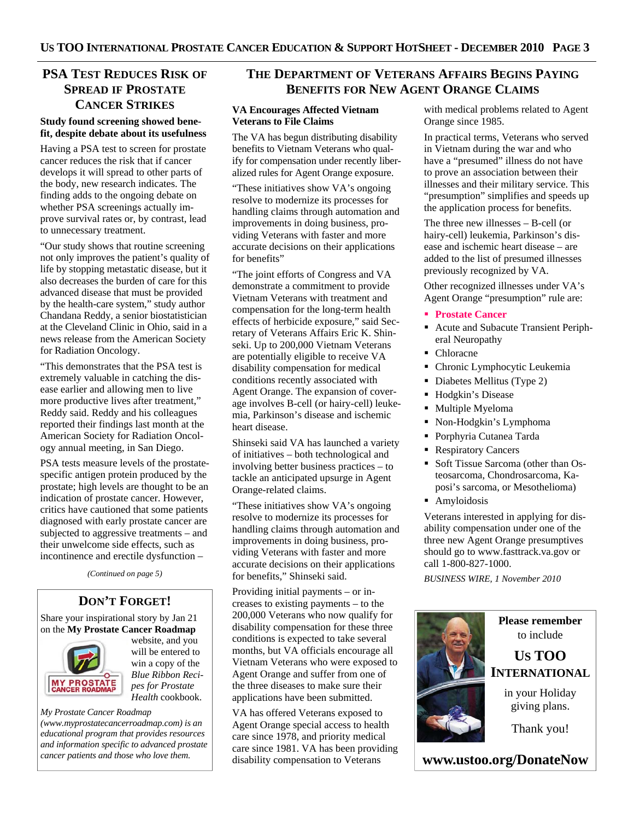## **PSA TEST REDUCES RISK OF SPREAD IF PROSTATE CANCER STRIKES**

### **Study found screening showed benefit, despite debate about its usefulness**

Having a PSA test to screen for prostate cancer reduces the risk that if cancer develops it will spread to other parts of the body, new research indicates. The finding adds to the ongoing debate on whether PSA screenings actually improve survival rates or, by contrast, lead to unnecessary treatment.

"Our study shows that routine screening not only improves the patient's quality of life by stopping metastatic disease, but it also decreases the burden of care for this advanced disease that must be provided by the health-care system," study author Chandana Reddy, a senior biostatistician at the Cleveland Clinic in Ohio, said in a news release from the American Society for Radiation Oncology.

"This demonstrates that the PSA test is extremely valuable in catching the disease earlier and allowing men to live more productive lives after treatment," Reddy said. Reddy and his colleagues reported their findings last month at the American Society for Radiation Oncology annual meeting, in San Diego.

PSA tests measure levels of the prostatespecific antigen protein produced by the prostate; high levels are thought to be an indication of prostate cancer. However, critics have cautioned that some patients diagnosed with early prostate cancer are subjected to aggressive treatments – and their unwelcome side effects, such as incontinence and erectile dysfunction –

*(Continued on page 5)* 

## **DON'T FORGET!**

Share your inspirational story by Jan 21 on the **My Prostate Cancer Roadmap**



website, and you will be entered to win a copy of the *Blue Ribbon Recipes for Prostate Health* cookbook.

### *My Prostate Cancer Roadmap*

*(www.myprostatecancerroadmap.com) is an educational program that provides resources and information specific to advanced prostate cancer patients and those who love them.* 

## **THE DEPARTMENT OF VETERANS AFFAIRS BEGINS PAYING BENEFITS FOR NEW AGENT ORANGE CLAIMS**

### **VA Encourages Affected Vietnam Veterans to File Claims**

The VA has begun distributing disability benefits to Vietnam Veterans who qualify for compensation under recently liberalized rules for Agent Orange exposure.

"These initiatives show VA's ongoing resolve to modernize its processes for handling claims through automation and improvements in doing business, providing Veterans with faster and more accurate decisions on their applications for benefits"

"The joint efforts of Congress and VA demonstrate a commitment to provide Vietnam Veterans with treatment and compensation for the long-term health effects of herbicide exposure," said Secretary of Veterans Affairs Eric K. Shinseki. Up to 200,000 Vietnam Veterans are potentially eligible to receive VA disability compensation for medical conditions recently associated with Agent Orange. The expansion of coverage involves B-cell (or hairy-cell) leukemia, Parkinson's disease and ischemic heart disease.

Shinseki said VA has launched a variety of initiatives – both technological and involving better business practices – to tackle an anticipated upsurge in Agent Orange-related claims.

"These initiatives show VA's ongoing resolve to modernize its processes for handling claims through automation and improvements in doing business, providing Veterans with faster and more accurate decisions on their applications for benefits," Shinseki said.

Providing initial payments – or increases to existing payments – to the 200,000 Veterans who now qualify for disability compensation for these three conditions is expected to take several months, but VA officials encourage all Vietnam Veterans who were exposed to Agent Orange and suffer from one of the three diseases to make sure their applications have been submitted.

VA has offered Veterans exposed to Agent Orange special access to health care since 1978, and priority medical care since 1981. VA has been providing disability compensation to Veterans

with medical problems related to Agent Orange since 1985.

In practical terms, Veterans who served in Vietnam during the war and who have a "presumed" illness do not have to prove an association between their illnesses and their military service. This "presumption" simplifies and speeds up the application process for benefits.

The three new illnesses – B-cell (or hairy-cell) leukemia, Parkinson's disease and ischemic heart disease – are added to the list of presumed illnesses previously recognized by VA.

Other recognized illnesses under VA's Agent Orange "presumption" rule are:

- **Prostate Cancer**
- Acute and Subacute Transient Peripheral Neuropathy
- Chloracne
- Chronic Lymphocytic Leukemia
- Diabetes Mellitus (Type 2)
- Hodgkin's Disease
- **Multiple Myeloma**
- Non-Hodgkin's Lymphoma
- Porphyria Cutanea Tarda
- **Respiratory Cancers**
- Soft Tissue Sarcoma (other than Osteosarcoma, Chondrosarcoma, Kaposi's sarcoma, or Mesothelioma)
- **Amyloidosis**

Veterans interested in applying for disability compensation under one of the three new Agent Orange presumptives should go to www.fasttrack.va.gov or call 1-800-827-1000.

*BUSINESS WIRE, 1 November 2010* 

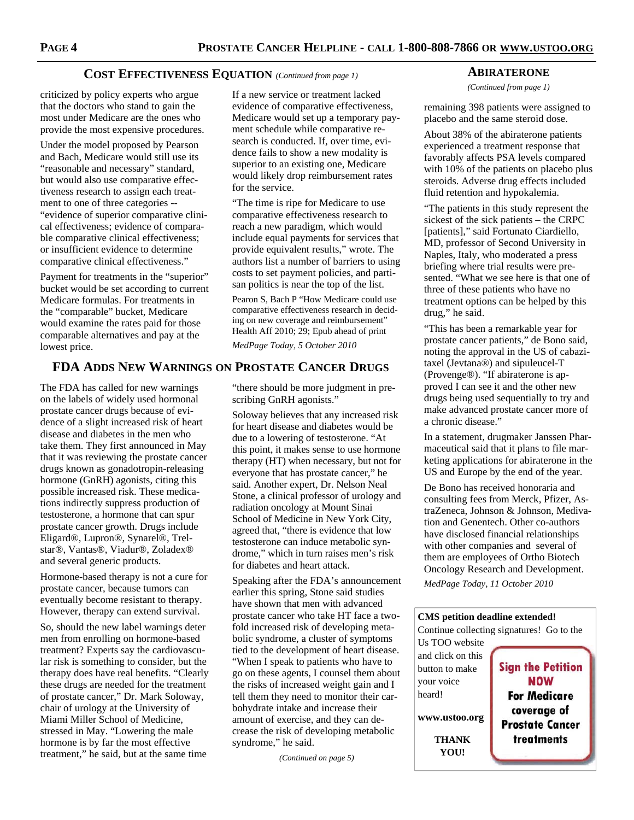### **COST EFFECTIVENESS EQUATION** *(Continued from page 1)*

criticized by policy experts who argue that the doctors who stand to gain the most under Medicare are the ones who provide the most expensive procedures.

Under the model proposed by Pearson and Bach, Medicare would still use its "reasonable and necessary" standard, but would also use comparative effectiveness research to assign each treatment to one of three categories -- "evidence of superior comparative clinical effectiveness; evidence of comparable comparative clinical effectiveness; or insufficient evidence to determine comparative clinical effectiveness."

Payment for treatments in the "superior" bucket would be set according to current Medicare formulas. For treatments in the "comparable" bucket, Medicare would examine the rates paid for those comparable alternatives and pay at the lowest price.

**FDA ADDS NEW WARNINGS ON PROSTATE CANCER DRUGS**

The FDA has called for new warnings on the labels of widely used hormonal prostate cancer drugs because of evidence of a slight increased risk of heart disease and diabetes in the men who take them. They first announced in May that it was reviewing the prostate cancer drugs known as gonadotropin-releasing hormone (GnRH) agonists, citing this possible increased risk. These medications indirectly suppress production of testosterone, a hormone that can spur prostate cancer growth. Drugs include Eligard®, Lupron®, Synarel®, Trelstar®, Vantas®, Viadur®, Zoladex® and several generic products.

Hormone-based therapy is not a cure for prostate cancer, because tumors can eventually become resistant to therapy. However, therapy can extend survival.

So, should the new label warnings deter men from enrolling on hormone-based treatment? Experts say the cardiovascular risk is something to consider, but the therapy does have real benefits. "Clearly these drugs are needed for the treatment of prostate cancer," Dr. Mark Soloway, chair of urology at the University of Miami Miller School of Medicine, stressed in May. "Lowering the male hormone is by far the most effective treatment," he said, but at the same time

If a new service or treatment lacked evidence of comparative effectiveness, Medicare would set up a temporary payment schedule while comparative research is conducted. If, over time, evidence fails to show a new modality is superior to an existing one, Medicare would likely drop reimbursement rates for the service.

"The time is ripe for Medicare to use comparative effectiveness research to reach a new paradigm, which would include equal payments for services that provide equivalent results," wrote. The authors list a number of barriers to using costs to set payment policies, and partisan politics is near the top of the list.

Pearon S, Bach P "How Medicare could use comparative effectiveness research in deciding on new coverage and reimbursement" Health Aff 2010; 29; Epub ahead of print

*MedPage Today, 5 October 2010* 

"there should be more judgment in prescribing GnRH agonists."

Soloway believes that any increased risk for heart disease and diabetes would be due to a lowering of testosterone. "At this point, it makes sense to use hormone therapy (HT) when necessary, but not for everyone that has prostate cancer," he said. Another expert, Dr. Nelson Neal Stone, a clinical professor of urology and radiation oncology at Mount Sinai School of Medicine in New York City, agreed that, "there is evidence that low testosterone can induce metabolic syndrome," which in turn raises men's risk for diabetes and heart attack.

Speaking after the FDA's announcement earlier this spring, Stone said studies have shown that men with advanced prostate cancer who take HT face a twofold increased risk of developing metabolic syndrome, a cluster of symptoms tied to the development of heart disease. "When I speak to patients who have to go on these agents, I counsel them about the risks of increased weight gain and I tell them they need to monitor their carbohydrate intake and increase their amount of exercise, and they can decrease the risk of developing metabolic syndrome," he said.

*(Continued on page 5)* 

### **ABIRATERONE**

*(Continued from page 1)* 

remaining 398 patients were assigned to placebo and the same steroid dose.

About 38% of the abiraterone patients experienced a treatment response that favorably affects PSA levels compared with 10% of the patients on placebo plus steroids. Adverse drug effects included fluid retention and hypokalemia.

"The patients in this study represent the sickest of the sick patients – the CRPC [patients]," said Fortunato Ciardiello, MD, professor of Second University in Naples, Italy, who moderated a press briefing where trial results were presented. "What we see here is that one of three of these patients who have no treatment options can be helped by this drug," he said.

"This has been a remarkable year for prostate cancer patients," de Bono said, noting the approval in the US of cabazitaxel (Jevtana®) and sipuleucel-T (Provenge®). "If abiraterone is approved I can see it and the other new drugs being used sequentially to try and make advanced prostate cancer more of a chronic disease."

In a statement, drugmaker Janssen Pharmaceutical said that it plans to file marketing applications for abiraterone in the US and Europe by the end of the year.

De Bono has received honoraria and consulting fees from Merck, Pfizer, AstraZeneca, Johnson & Johnson, Medivation and Genentech. Other co-authors have disclosed financial relationships with other companies and several of them are employees of Ortho Biotech Oncology Research and Development.

*MedPage Today, 11 October 2010* 

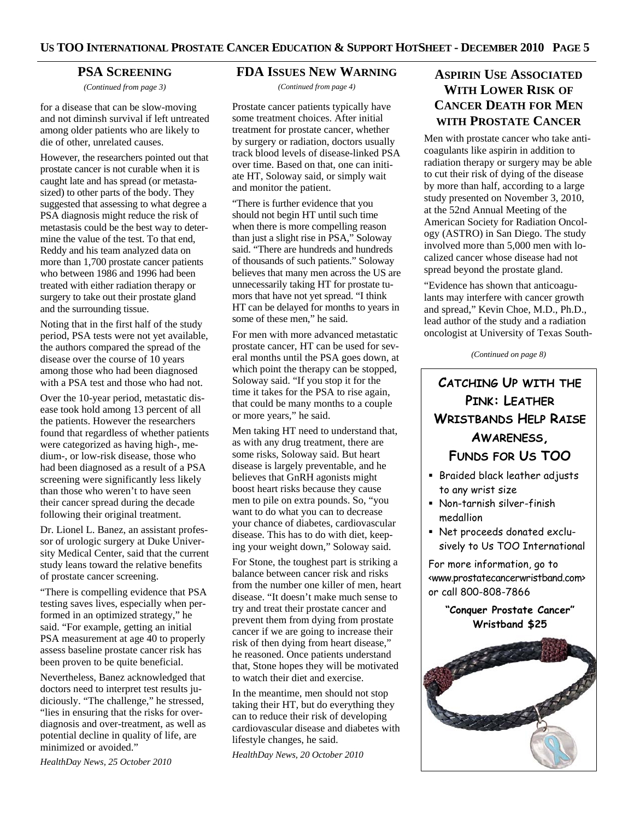### **PSA SCREENING**

*(Continued from page 3)* 

for a disease that can be slow-moving and not diminsh survival if left untreated among older patients who are likely to die of other, unrelated causes.

However, the researchers pointed out that prostate cancer is not curable when it is caught late and has spread (or metastasized) to other parts of the body. They suggested that assessing to what degree a PSA diagnosis might reduce the risk of metastasis could be the best way to determine the value of the test. To that end, Reddy and his team analyzed data on more than 1,700 prostate cancer patients who between 1986 and 1996 had been treated with either radiation therapy or surgery to take out their prostate gland and the surrounding tissue.

Noting that in the first half of the study period, PSA tests were not yet available, the authors compared the spread of the disease over the course of 10 years among those who had been diagnosed with a PSA test and those who had not.

Over the 10-year period, metastatic disease took hold among 13 percent of all the patients. However the researchers found that regardless of whether patients were categorized as having high-, medium-, or low-risk disease, those who had been diagnosed as a result of a PSA screening were significantly less likely than those who weren't to have seen their cancer spread during the decade following their original treatment.

Dr. Lionel L. Banez, an assistant professor of urologic surgery at Duke University Medical Center, said that the current study leans toward the relative benefits of prostate cancer screening.

"There is compelling evidence that PSA testing saves lives, especially when performed in an optimized strategy," he said. "For example, getting an initial PSA measurement at age 40 to properly assess baseline prostate cancer risk has been proven to be quite beneficial.

Nevertheless, Banez acknowledged that doctors need to interpret test results judiciously. "The challenge," he stressed, "lies in ensuring that the risks for overdiagnosis and over-treatment, as well as potential decline in quality of life, are minimized or avoided."

*HealthDay News, 25 October 2010* 

## **FDA ISSUES NEW WARNING**

*(Continued from page 4)* 

Prostate cancer patients typically have some treatment choices. After initial treatment for prostate cancer, whether by surgery or radiation, doctors usually track blood levels of disease-linked PSA over time. Based on that, one can initiate HT, Soloway said, or simply wait and monitor the patient.

"There is further evidence that you should not begin HT until such time when there is more compelling reason than just a slight rise in PSA," Soloway said. "There are hundreds and hundreds of thousands of such patients." Soloway believes that many men across the US are unnecessarily taking HT for prostate tumors that have not yet spread. "I think HT can be delayed for months to years in some of these men," he said.

For men with more advanced metastatic prostate cancer, HT can be used for several months until the PSA goes down, at which point the therapy can be stopped, Soloway said. "If you stop it for the time it takes for the PSA to rise again, that could be many months to a couple or more years," he said.

Men taking HT need to understand that, as with any drug treatment, there are some risks, Soloway said. But heart disease is largely preventable, and he believes that GnRH agonists might boost heart risks because they cause men to pile on extra pounds. So, "you want to do what you can to decrease your chance of diabetes, cardiovascular disease. This has to do with diet, keeping your weight down," Soloway said.

For Stone, the toughest part is striking a balance between cancer risk and risks from the number one killer of men, heart disease. "It doesn't make much sense to try and treat their prostate cancer and prevent them from dying from prostate cancer if we are going to increase their risk of then dying from heart disease," he reasoned. Once patients understand that, Stone hopes they will be motivated to watch their diet and exercise.

In the meantime, men should not stop taking their HT, but do everything they can to reduce their risk of developing cardiovascular disease and diabetes with lifestyle changes, he said.

*HealthDay News, 20 October 2010* 

## **ASPIRIN USE ASSOCIATED WITH LOWER RISK OF CANCER DEATH FOR MEN WITH PROSTATE CANCER**

Men with prostate cancer who take anticoagulants like aspirin in addition to radiation therapy or surgery may be able to cut their risk of dying of the disease by more than half, according to a large study presented on November 3, 2010, at the 52nd Annual Meeting of the American Society for Radiation Oncology (ASTRO) in San Diego. The study involved more than 5,000 men with localized cancer whose disease had not spread beyond the prostate gland.

"Evidence has shown that anticoagulants may interfere with cancer growth and spread," Kevin Choe, M.D., Ph.D., lead author of the study and a radiation oncologist at University of Texas South-

*(Continued on page 8)* 

# **CATCHING UP WITH THE PINK: LEATHER WRISTBANDS HELP RAISE AWARENESS, FUNDS FOR US TOO**

- Braided black leather adjusts to any wrist size
- Non-tarnish silver-finish medallion
- Net proceeds donated exclusively to Us TOO International

For more information, go to <www.prostatecancerwristband.com> or call 800-808-7866

> **"Conquer Prostate Cancer" Wristband \$25**

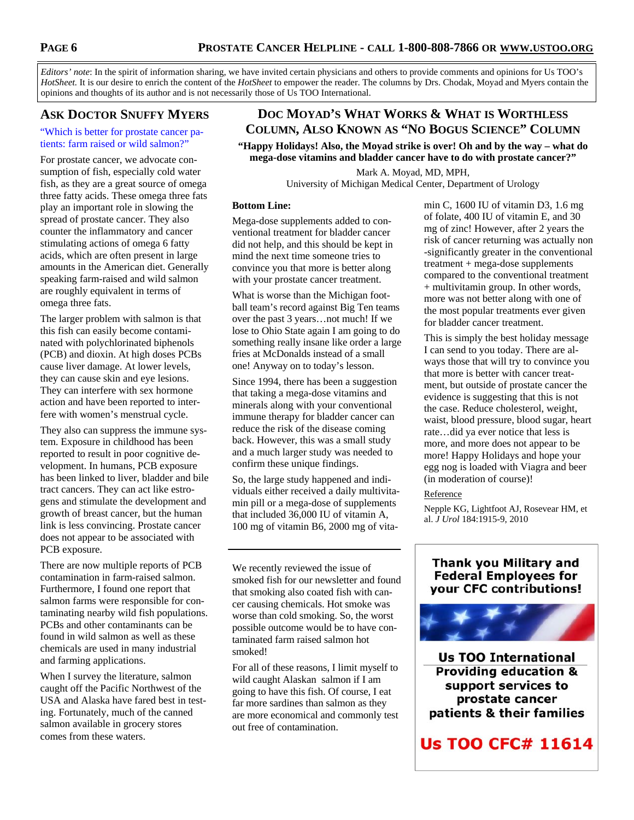*Editors' note*: In the spirit of information sharing, we have invited certain physicians and others to provide comments and opinions for Us TOO's *HotSheet.* It is our desire to enrich the content of the *HotSheet* to empower the reader. The columns by Drs. Chodak, Moyad and Myers contain the opinions and thoughts of its author and is not necessarily those of Us TOO International.

## **ASK DOCTOR SNUFFY MYERS**

"Which is better for prostate cancer patients: farm raised or wild salmon?"

For prostate cancer, we advocate consumption of fish, especially cold water fish, as they are a great source of omega three fatty acids. These omega three fats play an important role in slowing the spread of prostate cancer. They also counter the inflammatory and cancer stimulating actions of omega 6 fatty acids, which are often present in large amounts in the American diet. Generally speaking farm-raised and wild salmon are roughly equivalent in terms of omega three fats.

The larger problem with salmon is that this fish can easily become contaminated with polychlorinated biphenols (PCB) and dioxin. At high doses PCBs cause liver damage. At lower levels, they can cause skin and eye lesions. They can interfere with sex hormone action and have been reported to interfere with women's menstrual cycle.

They also can suppress the immune system. Exposure in childhood has been reported to result in poor cognitive development. In humans, PCB exposure has been linked to liver, bladder and bile tract cancers. They can act like estrogens and stimulate the development and growth of breast cancer, but the human link is less convincing. Prostate cancer does not appear to be associated with PCB exposure.

There are now multiple reports of PCB contamination in farm-raised salmon. Furthermore, I found one report that salmon farms were responsible for contaminating nearby wild fish populations. PCBs and other contaminants can be found in wild salmon as well as these chemicals are used in many industrial and farming applications.

When I survey the literature, salmon caught off the Pacific Northwest of the USA and Alaska have fared best in testing. Fortunately, much of the canned salmon available in grocery stores comes from these waters.

## **DOC MOYAD'S WHAT WORKS & WHAT IS WORTHLESS COLUMN, ALSO KNOWN AS "NO BOGUS SCIENCE" COLUMN**

**"Happy Holidays! Also, the Moyad strike is over! Oh and by the way – what do mega-dose vitamins and bladder cancer have to do with prostate cancer?"**

> Mark A. Moyad, MD, MPH, University of Michigan Medical Center, Department of Urology

### **Bottom Line:**

Mega-dose supplements added to conventional treatment for bladder cancer did not help, and this should be kept in mind the next time someone tries to convince you that more is better along with your prostate cancer treatment.

What is worse than the Michigan football team's record against Big Ten teams over the past 3 years…not much! If we lose to Ohio State again I am going to do something really insane like order a large fries at McDonalds instead of a small one! Anyway on to today's lesson.

Since 1994, there has been a suggestion that taking a mega-dose vitamins and minerals along with your conventional immune therapy for bladder cancer can reduce the risk of the disease coming back. However, this was a small study and a much larger study was needed to confirm these unique findings.

So, the large study happened and individuals either received a daily multivitamin pill or a mega-dose of supplements that included 36,000 IU of vitamin A, 100 mg of vitamin B6, 2000 mg of vita-

We recently reviewed the issue of smoked fish for our newsletter and found that smoking also coated fish with cancer causing chemicals. Hot smoke was worse than cold smoking. So, the worst possible outcome would be to have contaminated farm raised salmon hot smoked!

For all of these reasons, I limit myself to wild caught Alaskan salmon if I am going to have this fish. Of course, I eat far more sardines than salmon as they are more economical and commonly test out free of contamination.

min C, 1600 IU of vitamin D3, 1.6 mg of folate, 400 IU of vitamin E, and 30 mg of zinc! However, after 2 years the risk of cancer returning was actually non -significantly greater in the conventional treatment + mega-dose supplements compared to the conventional treatment + multivitamin group. In other words, more was not better along with one of the most popular treatments ever given for bladder cancer treatment.

This is simply the best holiday message I can send to you today. There are always those that will try to convince you that more is better with cancer treatment, but outside of prostate cancer the evidence is suggesting that this is not the case. Reduce cholesterol, weight, waist, blood pressure, blood sugar, heart rate…did ya ever notice that less is more, and more does not appear to be more! Happy Holidays and hope your egg nog is loaded with Viagra and beer (in moderation of course)!

### Reference

Nepple KG, Lightfoot AJ, Rosevear HM, et al. *J Urol* 184:1915-9, 2010

## **Thank you Military and Federal Employees for** your CFC contributions!



**Us TOO International Providing education &** support services to prostate cancer patients & their families

**Us TOO CFC# 11614**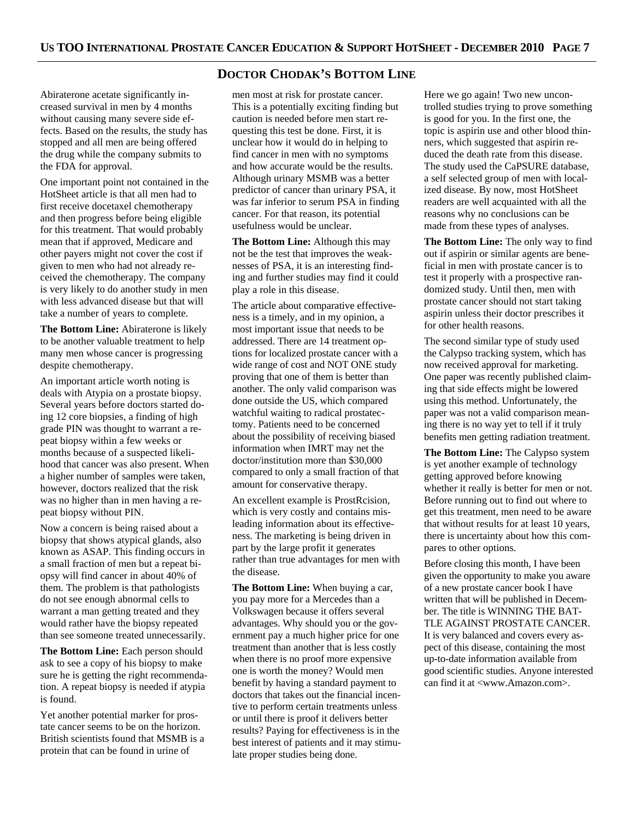### **DOCTOR CHODAK'S BOTTOM LINE**

Abiraterone acetate significantly increased survival in men by 4 months without causing many severe side effects. Based on the results, the study has stopped and all men are being offered the drug while the company submits to the FDA for approval.

One important point not contained in the HotSheet article is that all men had to first receive docetaxel chemotherapy and then progress before being eligible for this treatment. That would probably mean that if approved, Medicare and other payers might not cover the cost if given to men who had not already received the chemotherapy. The company is very likely to do another study in men with less advanced disease but that will take a number of years to complete.

**The Bottom Line:** Abiraterone is likely to be another valuable treatment to help many men whose cancer is progressing despite chemotherapy.

An important article worth noting is deals with Atypia on a prostate biopsy. Several years before doctors started doing 12 core biopsies, a finding of high grade PIN was thought to warrant a repeat biopsy within a few weeks or months because of a suspected likelihood that cancer was also present. When a higher number of samples were taken, however, doctors realized that the risk was no higher than in men having a repeat biopsy without PIN.

Now a concern is being raised about a biopsy that shows atypical glands, also known as ASAP. This finding occurs in a small fraction of men but a repeat biopsy will find cancer in about 40% of them. The problem is that pathologists do not see enough abnormal cells to warrant a man getting treated and they would rather have the biopsy repeated than see someone treated unnecessarily.

**The Bottom Line:** Each person should ask to see a copy of his biopsy to make sure he is getting the right recommendation. A repeat biopsy is needed if atypia is found.

Yet another potential marker for prostate cancer seems to be on the horizon. British scientists found that MSMB is a protein that can be found in urine of

men most at risk for prostate cancer. This is a potentially exciting finding but caution is needed before men start requesting this test be done. First, it is unclear how it would do in helping to find cancer in men with no symptoms and how accurate would be the results. Although urinary MSMB was a better predictor of cancer than urinary PSA, it was far inferior to serum PSA in finding cancer. For that reason, its potential usefulness would be unclear.

**The Bottom Line:** Although this may not be the test that improves the weaknesses of PSA, it is an interesting finding and further studies may find it could play a role in this disease.

The article about comparative effectiveness is a timely, and in my opinion, a most important issue that needs to be addressed. There are 14 treatment options for localized prostate cancer with a wide range of cost and NOT ONE study proving that one of them is better than another. The only valid comparison was done outside the US, which compared watchful waiting to radical prostatectomy. Patients need to be concerned about the possibility of receiving biased information when IMRT may net the doctor/institution more than \$30,000 compared to only a small fraction of that amount for conservative therapy.

An excellent example is ProstRcision, which is very costly and contains misleading information about its effectiveness. The marketing is being driven in part by the large profit it generates rather than true advantages for men with the disease.

**The Bottom Line:** When buying a car, you pay more for a Mercedes than a Volkswagen because it offers several advantages. Why should you or the government pay a much higher price for one treatment than another that is less costly when there is no proof more expensive one is worth the money? Would men benefit by having a standard payment to doctors that takes out the financial incentive to perform certain treatments unless or until there is proof it delivers better results? Paying for effectiveness is in the best interest of patients and it may stimulate proper studies being done.

Here we go again! Two new uncontrolled studies trying to prove something is good for you. In the first one, the topic is aspirin use and other blood thinners, which suggested that aspirin reduced the death rate from this disease. The study used the CaPSURE database, a self selected group of men with localized disease. By now, most HotSheet readers are well acquainted with all the reasons why no conclusions can be made from these types of analyses.

**The Bottom Line:** The only way to find out if aspirin or similar agents are beneficial in men with prostate cancer is to test it properly with a prospective randomized study. Until then, men with prostate cancer should not start taking aspirin unless their doctor prescribes it for other health reasons.

The second similar type of study used the Calypso tracking system, which has now received approval for marketing. One paper was recently published claiming that side effects might be lowered using this method. Unfortunately, the paper was not a valid comparison meaning there is no way yet to tell if it truly benefits men getting radiation treatment.

**The Bottom Line:** The Calypso system is yet another example of technology getting approved before knowing whether it really is better for men or not. Before running out to find out where to get this treatment, men need to be aware that without results for at least 10 years, there is uncertainty about how this compares to other options.

Before closing this month, I have been given the opportunity to make you aware of a new prostate cancer book I have written that will be published in December. The title is WINNING THE BAT-TLE AGAINST PROSTATE CANCER. It is very balanced and covers every aspect of this disease, containing the most up-to-date information available from good scientific studies. Anyone interested can find it at <www.Amazon.com>.